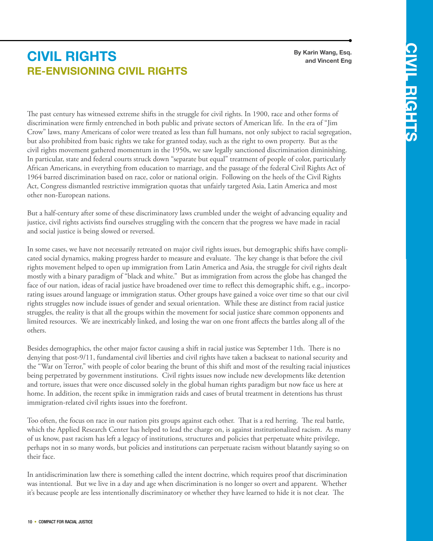## **Re-envisioning Civil Rights civil rights**

**By Karin Wang, Esq. and Vincent Eng**

The past century has witnessed extreme shifts in the struggle for civil rights. In 1900, race and other forms of discrimination were firmly entrenched in both public and private sectors of American life. In the era of "Jim Crow" laws, many Americans of color were treated as less than full humans, not only subject to racial segregation, but also prohibited from basic rights we take for granted today, such as the right to own property. But as the civil rights movement gathered momentum in the 1950s, we saw legally sanctioned discrimination diminishing. In particular, state and federal courts struck down "separate but equal" treatment of people of color, particularly African Americans, in everything from education to marriage, and the passage of the federal Civil Rights Act of 1964 barred discrimination based on race, color or national origin. Following on the heels of the Civil Rights Act, Congress dismantled restrictive immigration quotas that unfairly targeted Asia, Latin America and most other non-European nations.

But a half-century after some of these discriminatory laws crumbled under the weight of advancing equality and justice, civil rights activists find ourselves struggling with the concern that the progress we have made in racial and social justice is being slowed or reversed.

In some cases, we have not necessarily retreated on major civil rights issues, but demographic shifts have complicated social dynamics, making progress harder to measure and evaluate. The key change is that before the civil rights movement helped to open up immigration from Latin America and Asia, the struggle for civil rights dealt mostly with a binary paradigm of "black and white." But as immigration from across the globe has changed the face of our nation, ideas of racial justice have broadened over time to reflect this demographic shift, e.g., incorporating issues around language or immigration status. Other groups have gained a voice over time so that our civil rights struggles now include issues of gender and sexual orientation. While these are distinct from racial justice struggles, the reality is that all the groups within the movement for social justice share common opponents and limited resources. We are inextricably linked, and losing the war on one front affects the battles along all of the others.

Besides demographics, the other major factor causing a shift in racial justice was September 11th. There is no denying that post-9/11, fundamental civil liberties and civil rights have taken a backseat to national security and the "War on Terror," with people of color bearing the brunt of this shift and most of the resulting racial injustices being perpetrated by government institutions. Civil rights issues now include new developments like detention and torture, issues that were once discussed solely in the global human rights paradigm but now face us here at home. In addition, the recent spike in immigration raids and cases of brutal treatment in detentions has thrust immigration-related civil rights issues into the forefront.

Too often, the focus on race in our nation pits groups against each other. That is a red herring. The real battle, which the Applied Research Center has helped to lead the charge on, is against institutionalized racism. As many of us know, past racism has left a legacy of institutions, structures and policies that perpetuate white privilege, perhaps not in so many words, but policies and institutions can perpetuate racism without blatantly saying so on their face.

In antidiscrimination law there is something called the intent doctrine, which requires proof that discrimination was intentional. But we live in a day and age when discrimination is no longer so overt and apparent. Whether it's because people are less intentionally discriminatory or whether they have learned to hide it is not clear. The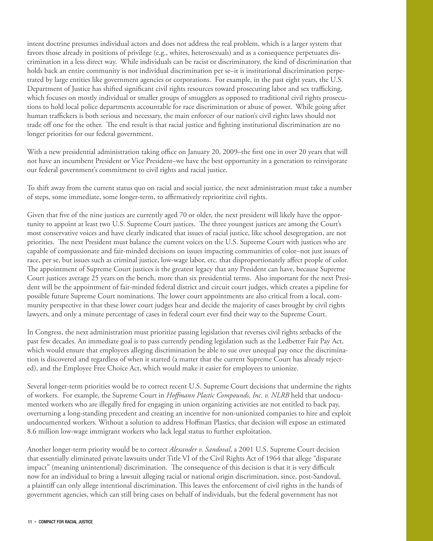intent doctrine presumes individual actors and does not address the real problem, which is a larger system that favors those already in positions of privilege (e.g., whites, heterosexuals) and as a consequence perpetuates discrimination in a less direct way. While individuals can be racist or discriminatory, the kind of discrimination that holds back an entire community is not individual discrimination per se–it is institutional discrimination perpetrated by large entities like government agencies or corporations. For example, in the past eight years, the U.S. Department of Justice has shifted significant civil rights resources toward prosecuting labor and sex trafficking, which focuses on mostly individual or smaller groups of smugglers as opposed to traditional civil rights prosecutions to hold local police departments accountable for race discrimination or abuse of power. While going after human traffickers is both serious and necessary, the main enforcer of our nation's civil rights laws should not trade off one for the other. The end result is that racial justice and fighting institutional discrimination are no longer priorities for our federal government.

With a new presidential administration taking office on January 20, 2009–the first one in over 20 years that will not have an incumbent President or Vice President–we have the best opportunity in a generation to reinvigorate our federal government's commitment to civil rights and racial justice.

To shift away from the current status quo on racial and social justice, the next administration must take a number of steps, some immediate, some longer-term, to affirmatively reprioritize civil rights.

Given that five of the nine justices are currently aged 70 or older, the next president will likely have the opportunity to appoint at least two U.S. Supreme Court justices. The three youngest justices are among the Court's most conservative voices and have clearly indicated that issues of racial justice, like school desegregation, are not priorities. The next President must balance the current voices on the U.S. Supreme Court with justices who are capable of compassionate and fair-minded decisions on issues impacting communities of color–not just issues of race, per se, but issues such as criminal justice, low-wage labor, etc. that disproportionately affect people of color. The appointment of Supreme Court justices is the greatest legacy that any President can have, because Supreme Court justices average 25 years on the bench, more than six presidential terms. Also important for the next President will be the appointment of fair-minded federal district and circuit court judges, which creates a pipeline for possible future Supreme Court nominations. The lower court appointments are also critical from a local, community perspective in that these lower court judges hear and decide the majority of cases brought by civil rights lawyers, and only a minute percentage of cases in federal court ever find their way to the Supreme Court.

In Congress, the next administration must prioritize passing legislation that reverses civil rights setbacks of the past few decades. An immediate goal is to pass currently pending legislation such as the Ledbetter Fair Pay Act, which would ensure that employees alleging discrimination be able to sue over unequal pay once the discrimination is discovered and regardless of when it started (a matter that the current Supreme Court has already rejected), and the Employee Free Choice Act, which would make it easier for employees to unionize.

Several longer-term priorities would be to correct recent U.S. Supreme Court decisions that undermine the rights of workers. For example, the Supreme Court in *Hoffmann Plastic Compounds, Inc. v. NLRB* held that undocumented workers who are illegally fired for engaging in union organizing activities are not entitled to back pay, overturning a long-standing precedent and creating an incentive for non-unionized companies to hire and exploit undocumented workers. Without a solution to address Hoffman Plastics, that decision will expose an estimated 8.6 million low-wage immigrant workers who lack legal status to further exploitation.

Another longer-term priority would be to correct *Alexander v. Sandoval*, a 2001 U.S. Supreme Court decision that essentially eliminated private lawsuits under Title VI of the Civil Rights Act of 1964 that allege "disparate impact" (meaning unintentional) discrimination. The consequence of this decision is that it is very difficult now for an individual to bring a lawsuit alleging racial or national origin discrimination, since, post-Sandoval, a plaintiff can only allege intentional discrimination. This leaves the enforcement of civil rights in the hands of government agencies, which can still bring cases on behalf of individuals, but the federal government has not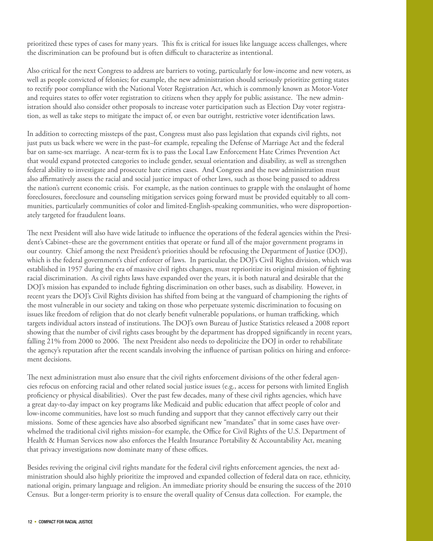prioritized these types of cases for many years. This fix is critical for issues like language access challenges, where the discrimination can be profound but is often difficult to characterize as intentional.

Also critical for the next Congress to address are barriers to voting, particularly for low-income and new voters, as well as people convicted of felonies; for example, the new administration should seriously prioritize getting states to rectify poor compliance with the National Voter Registration Act, which is commonly known as Motor-Voter and requires states to offer voter registration to citizens when they apply for public assistance. The new administration should also consider other proposals to increase voter participation such as Election Day voter registration, as well as take steps to mitigate the impact of, or even bar outright, restrictive voter identification laws.

In addition to correcting missteps of the past, Congress must also pass legislation that expands civil rights, not just puts us back where we were in the past–for example, repealing the Defense of Marriage Act and the federal bar on same-sex marriage. A near-term fix is to pass the Local Law Enforcement Hate Crimes Prevention Act that would expand protected categories to include gender, sexual orientation and disability, as well as strengthen federal ability to investigate and prosecute hate crimes cases. And Congress and the new administration must also affirmatively assess the racial and social justice impact of other laws, such as those being passed to address the nation's current economic crisis. For example, as the nation continues to grapple with the onslaught of home foreclosures, foreclosure and counseling mitigation services going forward must be provided equitably to all communities, particularly communities of color and limited-English-speaking communities, who were disproportionately targeted for fraudulent loans.

The next President will also have wide latitude to influence the operations of the federal agencies within the President's Cabinet–these are the government entities that operate or fund all of the major government programs in our country. Chief among the next President's priorities should be refocusing the Department of Justice (DOJ), which is the federal government's chief enforcer of laws. In particular, the DOJ's Civil Rights division, which was established in 1957 during the era of massive civil rights changes, must reprioritize its original mission of fighting racial discrimination. As civil rights laws have expanded over the years, it is both natural and desirable that the DOJ's mission has expanded to include fighting discrimination on other bases, such as disability. However, in recent years the DOJ's Civil Rights division has shifted from being at the vanguard of championing the rights of the most vulnerable in our society and taking on those who perpetuate systemic discrimination to focusing on issues like freedom of religion that do not clearly benefit vulnerable populations, or human trafficking, which targets individual actors instead of institutions. The DOJ's own Bureau of Justice Statistics released a 2008 report showing that the number of civil rights cases brought by the department has dropped significantly in recent years, falling 21% from 2000 to 2006. The next President also needs to depoliticize the DOJ in order to rehabilitate the agency's reputation after the recent scandals involving the influence of partisan politics on hiring and enforcement decisions.

The next administration must also ensure that the civil rights enforcement divisions of the other federal agencies refocus on enforcing racial and other related social justice issues (e.g., access for persons with limited English proficiency or physical disabilities). Over the past few decades, many of these civil rights agencies, which have a great day-to-day impact on key programs like Medicaid and public education that affect people of color and low-income communities, have lost so much funding and support that they cannot effectively carry out their missions. Some of these agencies have also absorbed significant new "mandates" that in some cases have overwhelmed the traditional civil rights mission–for example, the Office for Civil Rights of the U.S. Department of Health & Human Services now also enforces the Health Insurance Portability & Accountability Act, meaning that privacy investigations now dominate many of these offices.

Besides reviving the original civil rights mandate for the federal civil rights enforcement agencies, the next administration should also highly prioritize the improved and expanded collection of federal data on race, ethnicity, national origin, primary language and religion. An immediate priority should be ensuring the success of the 2010 Census. But a longer-term priority is to ensure the overall quality of Census data collection. For example, the